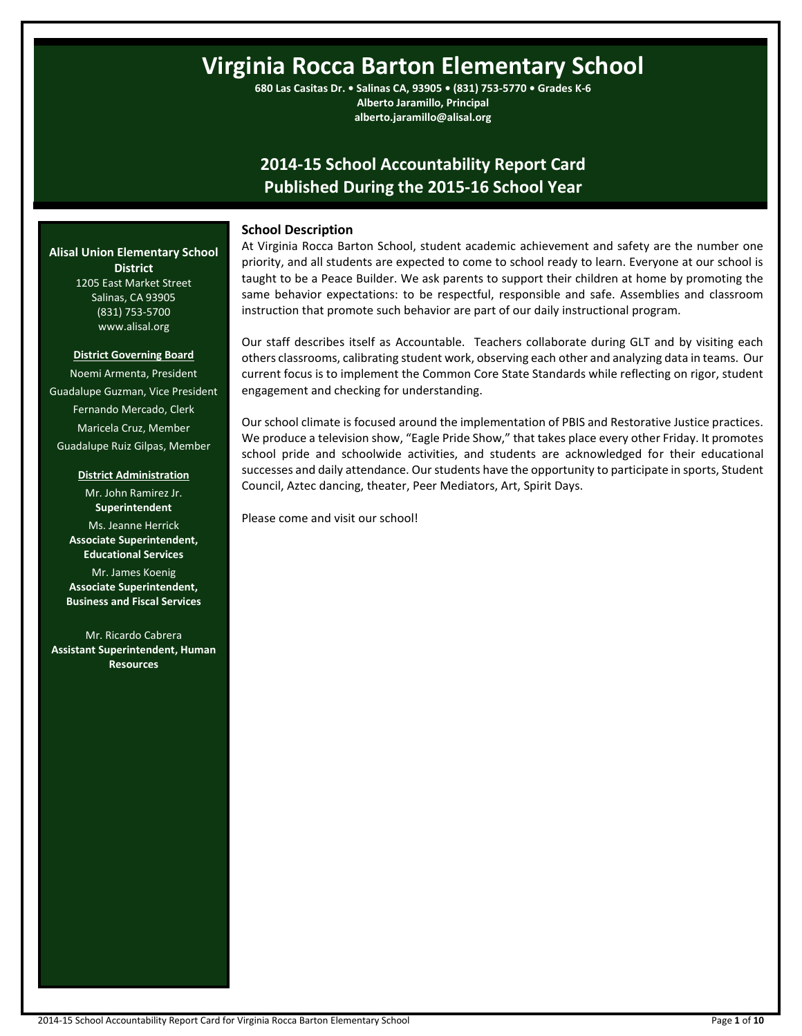# **Virginia Rocca Barton Elementary School**

**680 Las Casitas Dr. • Salinas CA, 93905 • (831) 753-5770 • Grades K-6 Alberto Jaramillo, Principal alberto.jaramillo@alisal.org**

# **2014-15 School Accountability Report Card Published During the 2015-16 School Year**

# **School Description**

At Virginia Rocca Barton School, student academic achievement and safety are the number one priority, and all students are expected to come to school ready to learn. Everyone at our school is taught to be a Peace Builder. We ask parents to support their children at home by promoting the same behavior expectations: to be respectful, responsible and safe. Assemblies and classroom instruction that promote such behavior are part of our daily instructional program.

Our staff describes itself as Accountable. Teachers collaborate during GLT and by visiting each others classrooms, calibrating student work, observing each other and analyzing data in teams. Our current focus is to implement the Common Core State Standards while reflecting on rigor, student engagement and checking for understanding.

Our school climate is focused around the implementation of PBIS and Restorative Justice practices. We produce a television show, "Eagle Pride Show," that takes place every other Friday. It promotes school pride and schoolwide activities, and students are acknowledged for their educational successes and daily attendance. Our students have the opportunity to participate in sports, Student Council, Aztec dancing, theater, Peer Mediators, Art, Spirit Days.

Please come and visit our school!

**Alisal Union Elementary School District** 1205 East Market Street Salinas, CA 93905

> www.alisal.org **District Governing Board**

(831) 753-5700

Noemi Armenta, President Guadalupe Guzman, Vice President Fernando Mercado, Clerk Maricela Cruz, Member Guadalupe Ruiz Gilpas, Member

**District Administration**

Mr. John Ramirez Jr. **Superintendent** Ms. Jeanne Herrick **Associate Superintendent, Educational Services** Mr. James Koenig **Associate Superintendent,**

**Business and Fiscal Services** Mr. Ricardo Cabrera **Assistant Superintendent, Human** 

**Resources**

2014-15 School Accountability Report Card for Virginia Rocca Barton Elementary School Page **1** of **10**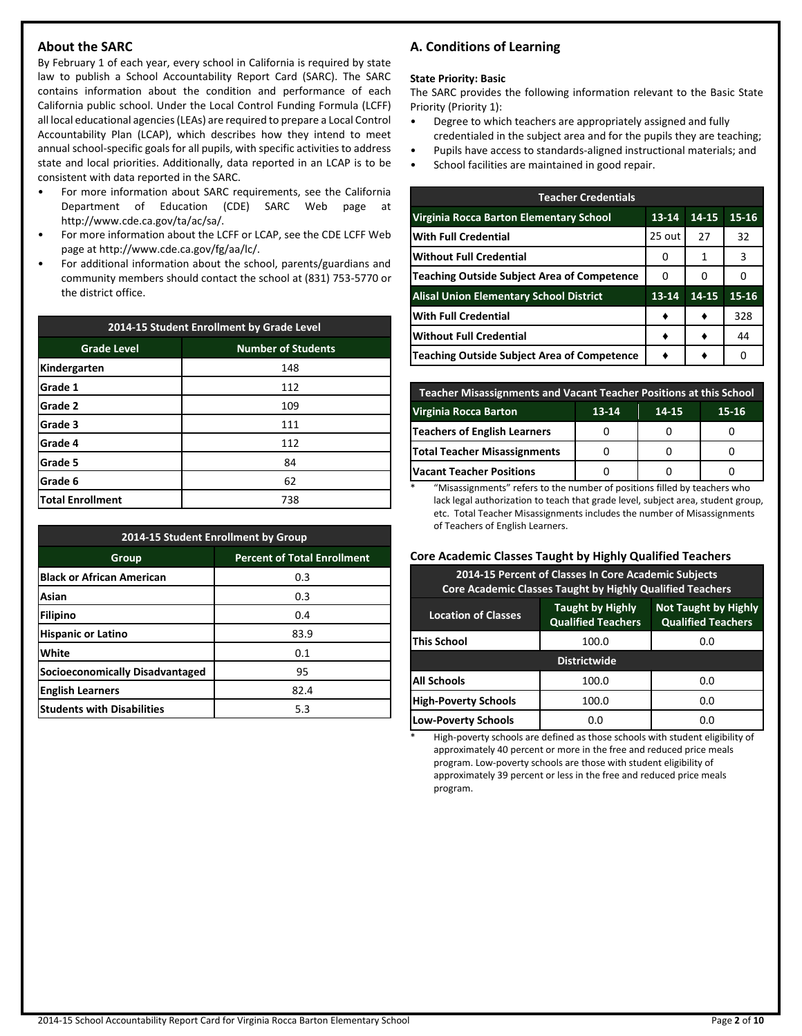# **About the SARC**

By February 1 of each year, every school in California is required by state law to publish a School Accountability Report Card (SARC). The SARC contains information about the condition and performance of each California public school. Under the Local Control Funding Formula (LCFF) all local educational agencies (LEAs) are required to prepare a Local Control Accountability Plan (LCAP), which describes how they intend to meet annual school-specific goals for all pupils, with specific activities to address state and local priorities. Additionally, data reported in an LCAP is to be consistent with data reported in the SARC.

- For more information about SARC requirements, see the California Department of Education (CDE) SARC Web page at http://www.cde.ca.gov/ta/ac/sa/.
- For more information about the LCFF or LCAP, see the CDE LCFF Web page at http://www.cde.ca.gov/fg/aa/lc/.
- For additional information about the school, parents/guardians and community members should contact the school at (831) 753-5770 or the district office.

| 2014-15 Student Enrollment by Grade Level |                           |  |  |  |
|-------------------------------------------|---------------------------|--|--|--|
| <b>Grade Level</b>                        | <b>Number of Students</b> |  |  |  |
| Kindergarten                              | 148                       |  |  |  |
| Grade 1                                   | 112                       |  |  |  |
| Grade 2                                   | 109                       |  |  |  |
| Grade 3                                   | 111                       |  |  |  |
| Grade 4                                   | 112                       |  |  |  |
| Grade 5<br>84                             |                           |  |  |  |
| Grade 6                                   | 62                        |  |  |  |
| <b>Total Enrollment</b>                   | 738                       |  |  |  |

| 2014-15 Student Enrollment by Group    |                                    |  |  |  |
|----------------------------------------|------------------------------------|--|--|--|
| Group                                  | <b>Percent of Total Enrollment</b> |  |  |  |
| <b>Black or African American</b>       | 0.3                                |  |  |  |
| Asian                                  | 0.3                                |  |  |  |
| Filipino                               | 0.4                                |  |  |  |
| <b>Hispanic or Latino</b>              | 83.9                               |  |  |  |
| White                                  | 0.1                                |  |  |  |
| <b>Socioeconomically Disadvantaged</b> | 95                                 |  |  |  |
| <b>English Learners</b>                | 82.4                               |  |  |  |
| <b>Students with Disabilities</b>      | 5.3                                |  |  |  |

# **A. Conditions of Learning**

#### **State Priority: Basic**

The SARC provides the following information relevant to the Basic State Priority (Priority 1):

- Degree to which teachers are appropriately assigned and fully credentialed in the subject area and for the pupils they are teaching;
- Pupils have access to standards-aligned instructional materials; and
- School facilities are maintained in good repair.

| <b>Teacher Credentials</b>                         |        |       |       |  |  |  |
|----------------------------------------------------|--------|-------|-------|--|--|--|
| Virginia Rocca Barton Elementary School            | 13-14  | 14-15 | 15-16 |  |  |  |
| <b>With Full Credential</b>                        | 25 out | 27    | 32    |  |  |  |
| <b>Without Full Credential</b>                     | 0      | 1     | 3     |  |  |  |
| Teaching Outside Subject Area of Competence        | 0      | 0     | O     |  |  |  |
| <b>Alisal Union Elementary School District</b>     | 13-14  | 14-15 | 15-16 |  |  |  |
| <b>With Full Credential</b>                        |        |       | 328   |  |  |  |
| <b>Without Full Credential</b>                     |        |       | 44    |  |  |  |
| <b>Teaching Outside Subject Area of Competence</b> |        |       | n     |  |  |  |

| Teacher Misassignments and Vacant Teacher Positions at this School |  |  |  |  |  |  |  |
|--------------------------------------------------------------------|--|--|--|--|--|--|--|
| Virginia Rocca Barton<br>$13 - 14$<br>$15 - 16$<br>14-15           |  |  |  |  |  |  |  |
| <b>Teachers of English Learners</b>                                |  |  |  |  |  |  |  |
| <b>Total Teacher Misassignments</b>                                |  |  |  |  |  |  |  |
| <b>Vacant Teacher Positions</b>                                    |  |  |  |  |  |  |  |

\* "Misassignments" refers to the number of positions filled by teachers who lack legal authorization to teach that grade level, subject area, student group, etc. Total Teacher Misassignments includes the number of Misassignments of Teachers of English Learners.

# **Core Academic Classes Taught by Highly Qualified Teachers**

| 2014-15 Percent of Classes In Core Academic Subjects<br><b>Core Academic Classes Taught by Highly Qualified Teachers</b>                       |       |     |  |  |  |  |
|------------------------------------------------------------------------------------------------------------------------------------------------|-------|-----|--|--|--|--|
| <b>Taught by Highly</b><br><b>Not Taught by Highly</b><br><b>Location of Classes</b><br><b>Qualified Teachers</b><br><b>Qualified Teachers</b> |       |     |  |  |  |  |
| This School<br>100.0<br>0.0                                                                                                                    |       |     |  |  |  |  |
| <b>Districtwide</b>                                                                                                                            |       |     |  |  |  |  |
| All Schools                                                                                                                                    | 100.0 | 0.0 |  |  |  |  |
| <b>High-Poverty Schools</b><br>100.0<br>0.0                                                                                                    |       |     |  |  |  |  |
| <b>Low-Poverty Schools</b>                                                                                                                     | 0.0   | 0.O |  |  |  |  |

High-poverty schools are defined as those schools with student eligibility of approximately 40 percent or more in the free and reduced price meals program. Low-poverty schools are those with student eligibility of approximately 39 percent or less in the free and reduced price meals program.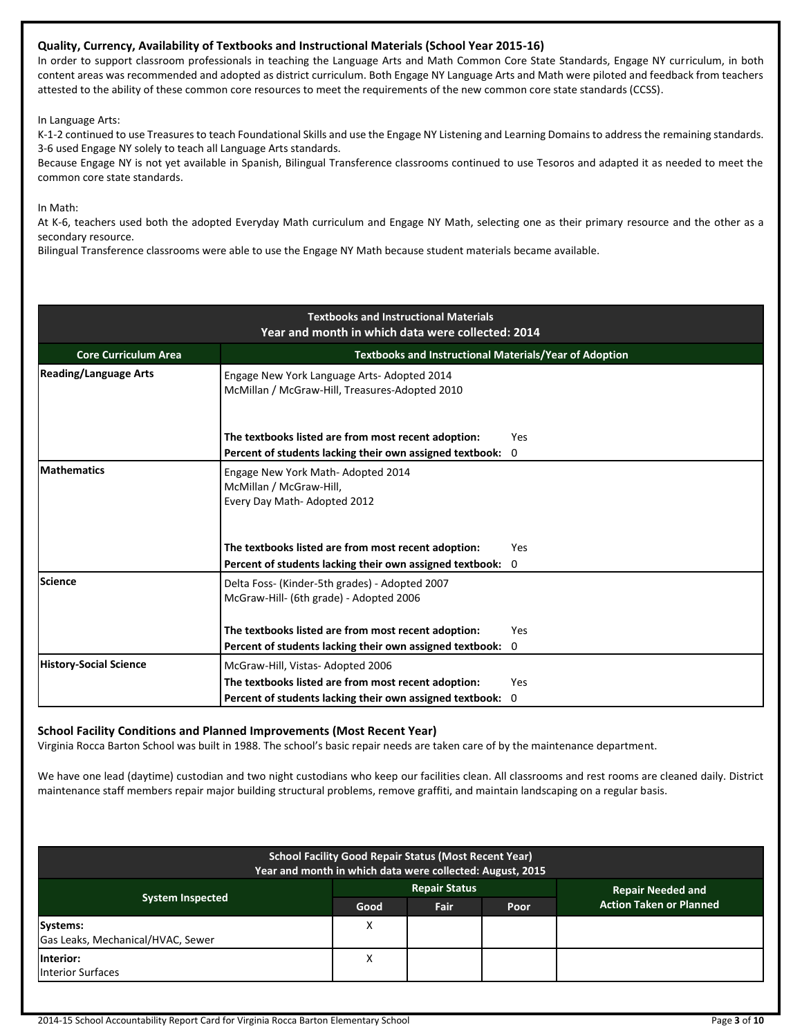# **Quality, Currency, Availability of Textbooks and Instructional Materials (School Year 2015-16)**

In order to support classroom professionals in teaching the Language Arts and Math Common Core State Standards, Engage NY curriculum, in both content areas was recommended and adopted as district curriculum. Both Engage NY Language Arts and Math were piloted and feedback from teachers attested to the ability of these common core resources to meet the requirements of the new common core state standards (CCSS).

In Language Arts:

K-1-2 continued to use Treasures to teach Foundational Skills and use the Engage NY Listening and Learning Domains to address the remaining standards. 3-6 used Engage NY solely to teach all Language Arts standards.

Because Engage NY is not yet available in Spanish, Bilingual Transference classrooms continued to use Tesoros and adapted it as needed to meet the common core state standards.

In Math:

At K-6, teachers used both the adopted Everyday Math curriculum and Engage NY Math, selecting one as their primary resource and the other as a secondary resource.

Bilingual Transference classrooms were able to use the Engage NY Math because student materials became available.

| <b>Textbooks and Instructional Materials</b><br>Year and month in which data were collected: 2014 |                                                                                              |              |  |  |  |  |
|---------------------------------------------------------------------------------------------------|----------------------------------------------------------------------------------------------|--------------|--|--|--|--|
| <b>Core Curriculum Area</b>                                                                       | <b>Textbooks and Instructional Materials/Year of Adoption</b>                                |              |  |  |  |  |
| <b>Reading/Language Arts</b>                                                                      | Engage New York Language Arts-Adopted 2014<br>McMillan / McGraw-Hill, Treasures-Adopted 2010 |              |  |  |  |  |
|                                                                                                   | The textbooks listed are from most recent adoption:                                          | Yes          |  |  |  |  |
|                                                                                                   | Percent of students lacking their own assigned textbook:                                     | $\mathbf 0$  |  |  |  |  |
| <b>Mathematics</b>                                                                                | Engage New York Math- Adopted 2014<br>McMillan / McGraw-Hill,<br>Every Day Math-Adopted 2012 |              |  |  |  |  |
|                                                                                                   | The textbooks listed are from most recent adoption:                                          | Yes          |  |  |  |  |
|                                                                                                   | Percent of students lacking their own assigned textbook:                                     | $\mathbf{0}$ |  |  |  |  |
| Science                                                                                           | Delta Foss- (Kinder-5th grades) - Adopted 2007<br>McGraw-Hill- (6th grade) - Adopted 2006    |              |  |  |  |  |
|                                                                                                   | The textbooks listed are from most recent adoption:                                          | Yes          |  |  |  |  |
|                                                                                                   | Percent of students lacking their own assigned textbook:                                     | 0            |  |  |  |  |
| <b>History-Social Science</b>                                                                     | McGraw-Hill, Vistas-Adopted 2006                                                             |              |  |  |  |  |
|                                                                                                   | The textbooks listed are from most recent adoption:                                          | <b>Yes</b>   |  |  |  |  |
|                                                                                                   | Percent of students lacking their own assigned textbook: 0                                   |              |  |  |  |  |

# **School Facility Conditions and Planned Improvements (Most Recent Year)**

Virginia Rocca Barton School was built in 1988. The school's basic repair needs are taken care of by the maintenance department.

We have one lead (daytime) custodian and two night custodians who keep our facilities clean. All classrooms and rest rooms are cleaned daily. District maintenance staff members repair major building structural problems, remove graffiti, and maintain landscaping on a regular basis.

| <b>School Facility Good Repair Status (Most Recent Year)</b><br>Year and month in which data were collected: August, 2015 |      |                      |      |                                |  |
|---------------------------------------------------------------------------------------------------------------------------|------|----------------------|------|--------------------------------|--|
|                                                                                                                           |      | <b>Repair Status</b> |      | <b>Repair Needed and</b>       |  |
| <b>System Inspected</b>                                                                                                   | Good | <b>Fair</b>          | Poor | <b>Action Taken or Planned</b> |  |
| Systems:                                                                                                                  | Χ    |                      |      |                                |  |
| Gas Leaks, Mechanical/HVAC, Sewer                                                                                         |      |                      |      |                                |  |
| Interior:<br><b>Interior Surfaces</b>                                                                                     | Χ    |                      |      |                                |  |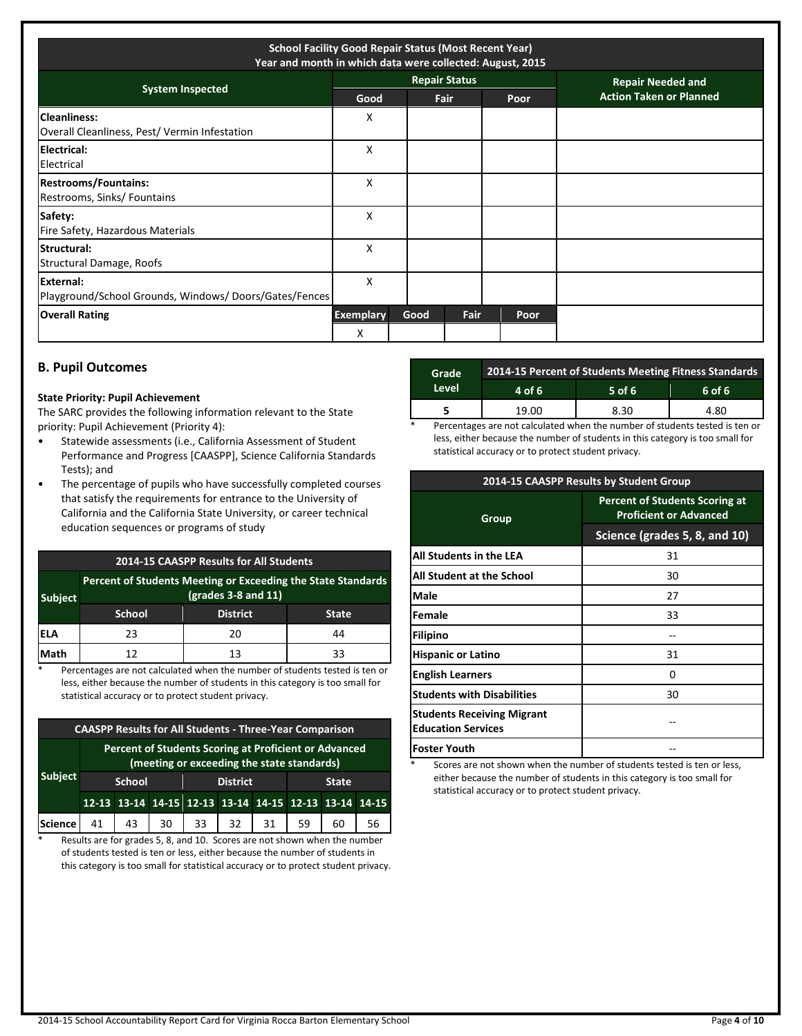| <b>School Facility Good Repair Status (Most Recent Year)</b><br>Year and month in which data were collected: August, 2015 |                       |      |                      |      |                                |
|---------------------------------------------------------------------------------------------------------------------------|-----------------------|------|----------------------|------|--------------------------------|
| <b>System Inspected</b>                                                                                                   |                       |      | <b>Repair Status</b> |      | <b>Repair Needed and</b>       |
|                                                                                                                           | Good                  |      | <b>Fair</b>          | Poor | <b>Action Taken or Planned</b> |
| <b>Cleanliness:</b><br>Overall Cleanliness, Pest/Vermin Infestation                                                       | х                     |      |                      |      |                                |
| Electrical:<br>Electrical                                                                                                 | X                     |      |                      |      |                                |
| <b>Restrooms/Fountains:</b><br>Restrooms, Sinks/ Fountains                                                                | X                     |      |                      |      |                                |
| Safety:<br>Fire Safety, Hazardous Materials                                                                               | X                     |      |                      |      |                                |
| Structural:<br>Structural Damage, Roofs                                                                                   | X                     |      |                      |      |                                |
| External:<br>Playground/School Grounds, Windows/Doors/Gates/Fences                                                        | X                     |      |                      |      |                                |
| <b>Overall Rating</b>                                                                                                     | <b>Exemplary</b><br>X | Good | Fair                 | Poor |                                |

# **B. Pupil Outcomes**

#### **State Priority: Pupil Achievement**

The SARC provides the following information relevant to the State priority: Pupil Achievement (Priority 4):

- Statewide assessments (i.e., California Assessment of Student Performance and Progress [CAASPP], Science California Standards Tests); and
- The percentage of pupils who have successfully completed courses that satisfy the requirements for entrance to the University of California and the California State University, or career technical education sequences or programs of study

| 2014-15 CAASPP Results for All Students |                                                                                     |                 |              |  |  |
|-----------------------------------------|-------------------------------------------------------------------------------------|-----------------|--------------|--|--|
| <b>Subject</b>                          | Percent of Students Meeting or Exceeding the State Standards<br>(grades 3-8 and 11) |                 |              |  |  |
|                                         | <b>School</b>                                                                       | <b>District</b> | <b>State</b> |  |  |
| lela                                    | 23                                                                                  | 20              | 44           |  |  |
| Math                                    | 12                                                                                  | 13              | 33           |  |  |

\* Percentages are not calculated when the number of students tested is ten or less, either because the number of students in this category is too small for statistical accuracy or to protect student privacy.

| <b>CAASPP Results for All Students - Three-Year Comparison</b> |                                                                                                     |        |    |    |                 |    |    |                                                       |    |
|----------------------------------------------------------------|-----------------------------------------------------------------------------------------------------|--------|----|----|-----------------|----|----|-------------------------------------------------------|----|
|                                                                | Percent of Students Scoring at Proficient or Advanced<br>(meeting or exceeding the state standards) |        |    |    |                 |    |    |                                                       |    |
| <b>Subject</b>                                                 |                                                                                                     | School |    |    | <b>District</b> |    |    | <b>State</b>                                          |    |
|                                                                |                                                                                                     |        |    |    |                 |    |    | 12-13 13-14 14-15 12-13 13-14 14-15 12-13 13-14 14-15 |    |
| <b>Science</b>                                                 | 41                                                                                                  | 43     | 30 | 33 | 32              | 31 | 59 | 60                                                    | 56 |

\* Results are for grades 5, 8, and 10. Scores are not shown when the number of students tested is ten or less, either because the number of students in this category is too small for statistical accuracy or to protect student privacy.

| Grade | 2014-15 Percent of Students Meeting Fitness Standards |          |        |  |  |  |
|-------|-------------------------------------------------------|----------|--------|--|--|--|
| Level | 4 of $6$                                              | $5$ of 6 | 6 of 6 |  |  |  |
|       | 19.00                                                 | 8.30     | 4.80   |  |  |  |

Percentages are not calculated when the number of students tested is ten or less, either because the number of students in this category is too small for statistical accuracy or to protect student privacy.

| 2014-15 CAASPP Results by Student Group                        |                                                                        |  |  |  |
|----------------------------------------------------------------|------------------------------------------------------------------------|--|--|--|
| Group                                                          | <b>Percent of Students Scoring at</b><br><b>Proficient or Advanced</b> |  |  |  |
|                                                                | Science (grades 5, 8, and 10)                                          |  |  |  |
| All Students in the LEA                                        | 31                                                                     |  |  |  |
| <b>All Student at the School</b>                               | 30                                                                     |  |  |  |
| <b>Male</b>                                                    | 27                                                                     |  |  |  |
| <b>IFemale</b>                                                 | 33                                                                     |  |  |  |
| Filipino                                                       |                                                                        |  |  |  |
| <b>Hispanic or Latino</b>                                      | 31                                                                     |  |  |  |
| <b>English Learners</b>                                        | 0                                                                      |  |  |  |
| <b>Students with Disabilities</b><br>30                        |                                                                        |  |  |  |
| <b>Students Receiving Migrant</b><br><b>Education Services</b> |                                                                        |  |  |  |
| <b>Foster Youth</b>                                            |                                                                        |  |  |  |

Scores are not shown when the number of students tested is ten or less, either because the number of students in this category is too small for statistical accuracy or to protect student privacy.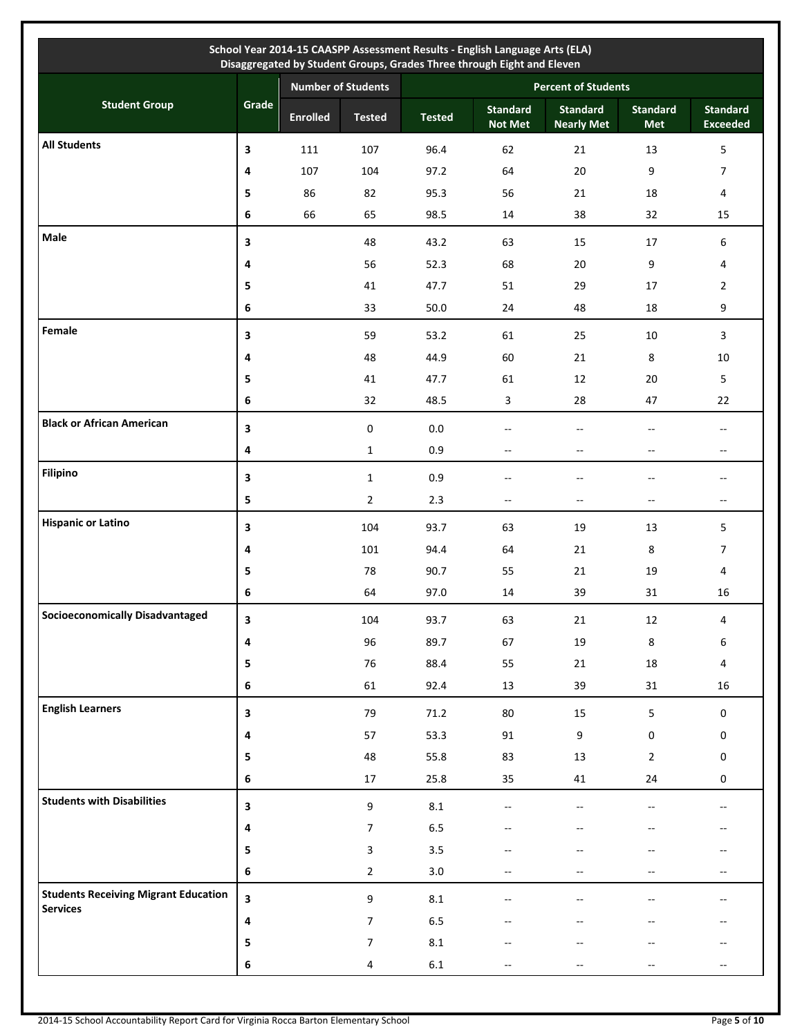|                                                                |                         |                           |                  |                            | School Year 2014-15 CAASPP Assessment Results - English Language Arts (ELA)<br>Disaggregated by Student Groups, Grades Three through Eight and Eleven |                                      |                        |                                                     |  |
|----------------------------------------------------------------|-------------------------|---------------------------|------------------|----------------------------|-------------------------------------------------------------------------------------------------------------------------------------------------------|--------------------------------------|------------------------|-----------------------------------------------------|--|
|                                                                |                         | <b>Number of Students</b> |                  | <b>Percent of Students</b> |                                                                                                                                                       |                                      |                        |                                                     |  |
| <b>Student Group</b>                                           | Grade                   | <b>Enrolled</b>           | <b>Tested</b>    | <b>Tested</b>              | <b>Standard</b><br><b>Not Met</b>                                                                                                                     | <b>Standard</b><br><b>Nearly Met</b> | <b>Standard</b><br>Met | <b>Standard</b><br><b>Exceeded</b>                  |  |
| <b>All Students</b>                                            | 3                       | 111                       | 107              | 96.4                       | 62                                                                                                                                                    | 21                                   | 13                     | 5                                                   |  |
|                                                                | 4                       | 107                       | 104              | 97.2                       | 64                                                                                                                                                    | 20                                   | 9                      | $\overline{7}$                                      |  |
|                                                                | 5                       | 86                        | 82               | 95.3                       | 56                                                                                                                                                    | 21                                   | 18                     | 4                                                   |  |
|                                                                | 6                       | 66                        | 65               | 98.5                       | 14                                                                                                                                                    | 38                                   | 32                     | 15                                                  |  |
| Male                                                           | 3                       |                           | 48               | 43.2                       | 63                                                                                                                                                    | 15                                   | 17                     | 6                                                   |  |
|                                                                | 4                       |                           | 56               | 52.3                       | 68                                                                                                                                                    | 20                                   | 9                      | 4                                                   |  |
|                                                                | 5                       |                           | 41               | 47.7                       | 51                                                                                                                                                    | 29                                   | 17                     | $\overline{2}$                                      |  |
|                                                                | 6                       |                           | 33               | 50.0                       | 24                                                                                                                                                    | 48                                   | 18                     | 9                                                   |  |
| Female                                                         | 3                       |                           | 59               | 53.2                       | 61                                                                                                                                                    | 25                                   | 10                     | $\mathbf{3}$                                        |  |
|                                                                | 4                       |                           | 48               | 44.9                       | 60                                                                                                                                                    | 21                                   | 8                      | 10                                                  |  |
|                                                                | 5                       |                           | 41               | 47.7                       | 61                                                                                                                                                    | 12                                   | 20                     | 5                                                   |  |
|                                                                | 6                       |                           | 32               | 48.5                       | 3                                                                                                                                                     | 28                                   | 47                     | 22                                                  |  |
| <b>Black or African American</b>                               | 3                       |                           | $\pmb{0}$        | $0.0\,$                    | --                                                                                                                                                    | $\overline{\phantom{a}}$             | $-$                    | н.                                                  |  |
|                                                                | 4                       |                           | $\mathbf{1}$     | 0.9                        | --                                                                                                                                                    | $- -$                                | --                     | $\hspace{0.05cm} -\hspace{0.05cm} -\hspace{0.05cm}$ |  |
| <b>Filipino</b>                                                | 3                       |                           | $\mathbf{1}$     | 0.9                        |                                                                                                                                                       | --                                   |                        | $\overline{\phantom{a}}$                            |  |
|                                                                | 5                       |                           | $\overline{2}$   | 2.3                        | $\overline{\phantom{a}}$                                                                                                                              | $\overline{\phantom{a}}$             | $- -$                  | $\overline{\phantom{a}}$                            |  |
| <b>Hispanic or Latino</b>                                      | 3                       |                           | 104              | 93.7                       | 63                                                                                                                                                    | 19                                   | 13                     | 5                                                   |  |
|                                                                | 4                       |                           | 101              | 94.4                       | 64                                                                                                                                                    | 21                                   | 8                      | $\overline{7}$                                      |  |
|                                                                | 5                       |                           | 78               | 90.7                       | 55                                                                                                                                                    | 21                                   | 19                     | 4                                                   |  |
|                                                                | 6                       |                           | 64               | 97.0                       | 14                                                                                                                                                    | 39                                   | 31                     | 16                                                  |  |
| <b>Socioeconomically Disadvantaged</b>                         | 3                       |                           | 104              | 93.7                       | 63                                                                                                                                                    | $21\,$                               | $12\,$                 | 4                                                   |  |
|                                                                | 4                       |                           | 96               | 89.7                       | 67                                                                                                                                                    | 19                                   | $\bf 8$                | 6                                                   |  |
|                                                                | 5                       |                           | 76               | 88.4                       | 55                                                                                                                                                    | 21                                   | 18                     | $\overline{4}$                                      |  |
|                                                                | 6                       |                           | 61               | 92.4                       | 13                                                                                                                                                    | 39                                   | 31                     | 16                                                  |  |
| <b>English Learners</b>                                        | 3                       |                           | 79               | 71.2                       | 80                                                                                                                                                    | 15                                   | 5                      | $\mathbf 0$                                         |  |
|                                                                | 4                       |                           | 57               | 53.3                       | 91                                                                                                                                                    | 9                                    | $\pmb{0}$              | 0                                                   |  |
|                                                                | 5                       |                           | 48               | 55.8                       | 83                                                                                                                                                    | 13                                   | $\overline{2}$         | 0                                                   |  |
|                                                                | 6                       |                           | 17               | 25.8                       | 35                                                                                                                                                    | 41                                   | 24                     | 0                                                   |  |
| <b>Students with Disabilities</b>                              | 3                       |                           | 9                | 8.1                        | $-$                                                                                                                                                   | $-$                                  |                        | $\overline{a}$                                      |  |
|                                                                | 4                       |                           | $\overline{7}$   | $6.5\,$                    |                                                                                                                                                       |                                      |                        |                                                     |  |
|                                                                | 5                       |                           | 3                | 3.5                        |                                                                                                                                                       |                                      |                        |                                                     |  |
|                                                                | 6                       |                           | $\overline{2}$   | 3.0                        | --                                                                                                                                                    | $-$                                  | --                     | $\overline{\phantom{a}}$                            |  |
| <b>Students Receiving Migrant Education</b><br><b>Services</b> | $\overline{\mathbf{3}}$ |                           | $\boldsymbol{9}$ | $8.1\,$                    | --                                                                                                                                                    | --                                   |                        | $-$                                                 |  |
|                                                                | 4                       |                           | $\boldsymbol{7}$ | $6.5\,$                    |                                                                                                                                                       |                                      | $-$                    |                                                     |  |
|                                                                | 5                       |                           | $\boldsymbol{7}$ | 8.1                        |                                                                                                                                                       |                                      |                        |                                                     |  |
|                                                                | 6                       |                           | $\overline{4}$   | 6.1                        | --                                                                                                                                                    | --                                   | --                     | $\hspace{0.05cm} -\hspace{0.05cm} -\hspace{0.05cm}$ |  |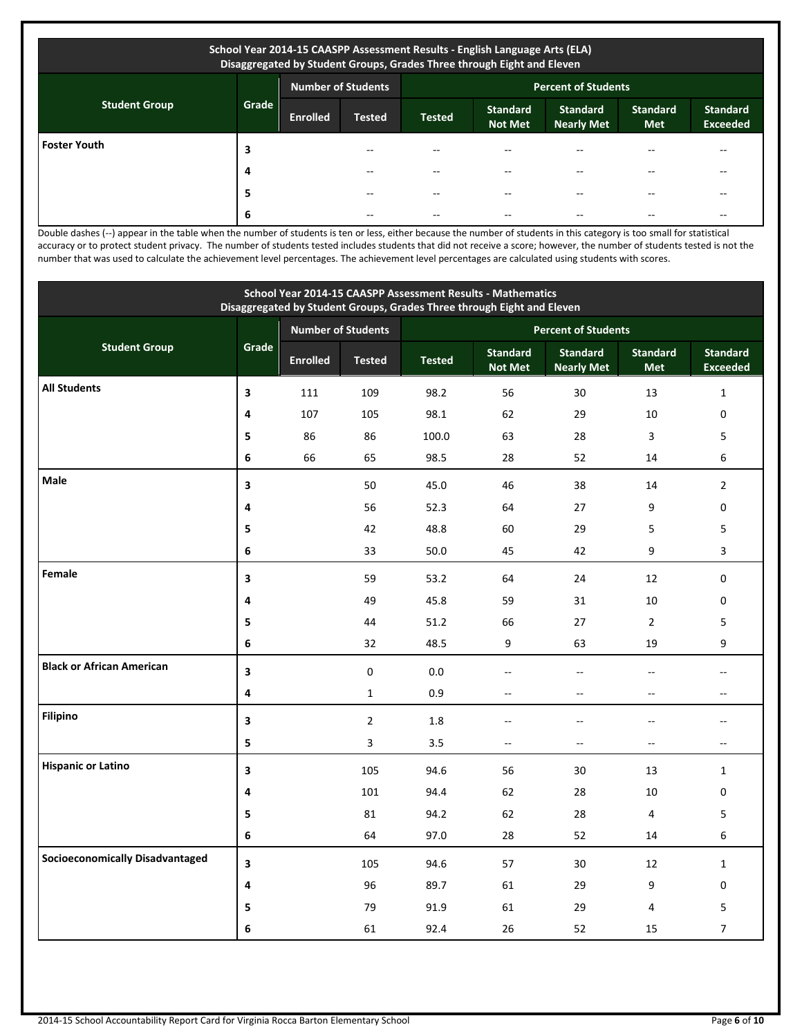| School Year 2014-15 CAASPP Assessment Results - English Language Arts (ELA)<br>Disaggregated by Student Groups, Grades Three through Eight and Eleven |       |                           |               |                            |                                   |                                      |                               |                                    |  |
|-------------------------------------------------------------------------------------------------------------------------------------------------------|-------|---------------------------|---------------|----------------------------|-----------------------------------|--------------------------------------|-------------------------------|------------------------------------|--|
|                                                                                                                                                       |       | <b>Number of Students</b> |               | <b>Percent of Students</b> |                                   |                                      |                               |                                    |  |
| <b>Student Group</b>                                                                                                                                  | Grade | <b>Enrolled</b>           | <b>Tested</b> | <b>Tested</b>              | <b>Standard</b><br><b>Not Met</b> | <b>Standard</b><br><b>Nearly Met</b> | <b>Standard</b><br><b>Met</b> | <b>Standard</b><br><b>Exceeded</b> |  |
| <b>Foster Youth</b>                                                                                                                                   | 3     |                           |               |                            | --                                |                                      |                               |                                    |  |
|                                                                                                                                                       | 4     |                           |               |                            | --                                |                                      |                               |                                    |  |
|                                                                                                                                                       | 5     |                           | --            |                            | --                                |                                      |                               | --                                 |  |
|                                                                                                                                                       | 6     |                           | --            |                            | --                                |                                      |                               | --                                 |  |

Double dashes (--) appear in the table when the number of students is ten or less, either because the number of students in this category is too small for statistical accuracy or to protect student privacy. The number of students tested includes students that did not receive a score; however, the number of students tested is not the number that was used to calculate the achievement level percentages. The achievement level percentages are calculated using students with scores.

| School Year 2014-15 CAASPP Assessment Results - Mathematics<br>Disaggregated by Student Groups, Grades Three through Eight and Eleven |       |                 |                    |                            |                                   |                                      |                               |                                    |  |
|---------------------------------------------------------------------------------------------------------------------------------------|-------|-----------------|--------------------|----------------------------|-----------------------------------|--------------------------------------|-------------------------------|------------------------------------|--|
|                                                                                                                                       |       |                 | Number of Students | <b>Percent of Students</b> |                                   |                                      |                               |                                    |  |
| <b>Student Group</b>                                                                                                                  | Grade | <b>Enrolled</b> | <b>Tested</b>      | <b>Tested</b>              | <b>Standard</b><br><b>Not Met</b> | <b>Standard</b><br><b>Nearly Met</b> | <b>Standard</b><br><b>Met</b> | <b>Standard</b><br><b>Exceeded</b> |  |
| <b>All Students</b>                                                                                                                   | 3     | 111             | 109                | 98.2                       | 56                                | 30                                   | 13                            | $\mathbf{1}$                       |  |
|                                                                                                                                       | 4     | 107             | 105                | 98.1                       | 62                                | 29                                   | 10                            | $\mathbf 0$                        |  |
|                                                                                                                                       | 5     | 86              | 86                 | 100.0                      | 63                                | 28                                   | 3                             | 5                                  |  |
|                                                                                                                                       | 6     | 66              | 65                 | 98.5                       | 28                                | 52                                   | 14                            | 6                                  |  |
| Male                                                                                                                                  | 3     |                 | 50                 | 45.0                       | 46                                | 38                                   | 14                            | $\overline{2}$                     |  |
|                                                                                                                                       | 4     |                 | 56                 | 52.3                       | 64                                | 27                                   | 9                             | 0                                  |  |
|                                                                                                                                       | 5     |                 | 42                 | 48.8                       | 60                                | 29                                   | 5                             | 5                                  |  |
|                                                                                                                                       | 6     |                 | 33                 | 50.0                       | 45                                | 42                                   | 9                             | 3                                  |  |
| Female                                                                                                                                | 3     |                 | 59                 | 53.2                       | 64                                | 24                                   | 12                            | 0                                  |  |
|                                                                                                                                       | 4     |                 | 49                 | 45.8                       | 59                                | 31                                   | 10                            | 0                                  |  |
|                                                                                                                                       | 5     |                 | 44                 | 51.2                       | 66                                | 27                                   | $\overline{2}$                | 5                                  |  |
|                                                                                                                                       | 6     |                 | 32                 | 48.5                       | 9                                 | 63                                   | 19                            | 9                                  |  |
| <b>Black or African American</b>                                                                                                      | 3     |                 | $\pmb{0}$          | $0.0\,$                    | $-$                               | $\sim$                               | $\overline{a}$                | $-$                                |  |
|                                                                                                                                       | 4     |                 | $\mathbf{1}$       | 0.9                        | $\overline{a}$                    | $\overline{a}$                       | Ξ.                            | --                                 |  |
| <b>Filipino</b>                                                                                                                       | 3     |                 | $\overline{2}$     | $1.8\,$                    | ÷.                                | ÷.                                   | ÷.                            | $-$                                |  |
|                                                                                                                                       | 5     |                 | 3                  | 3.5                        | $\overline{\phantom{a}}$          | $\overline{\phantom{a}}$             | Ξ.                            | $\qquad \qquad -$                  |  |
| <b>Hispanic or Latino</b>                                                                                                             | 3     |                 | 105                | 94.6                       | 56                                | 30                                   | 13                            | $\mathbf{1}$                       |  |
|                                                                                                                                       | 4     |                 | 101                | 94.4                       | 62                                | 28                                   | 10                            | 0                                  |  |
|                                                                                                                                       | 5     |                 | 81                 | 94.2                       | 62                                | 28                                   | 4                             | 5                                  |  |
|                                                                                                                                       | 6     |                 | 64                 | 97.0                       | 28                                | 52                                   | 14                            | 6                                  |  |
| <b>Socioeconomically Disadvantaged</b>                                                                                                | 3     |                 | 105                | 94.6                       | 57                                | 30                                   | 12                            | $\mathbf{1}$                       |  |
|                                                                                                                                       | 4     |                 | 96                 | 89.7                       | 61                                | 29                                   | 9                             | 0                                  |  |
|                                                                                                                                       | 5     |                 | 79                 | 91.9                       | 61                                | 29                                   | 4                             | 5                                  |  |
|                                                                                                                                       | 6     |                 | 61                 | 92.4                       | 26                                | 52                                   | 15                            | $\overline{7}$                     |  |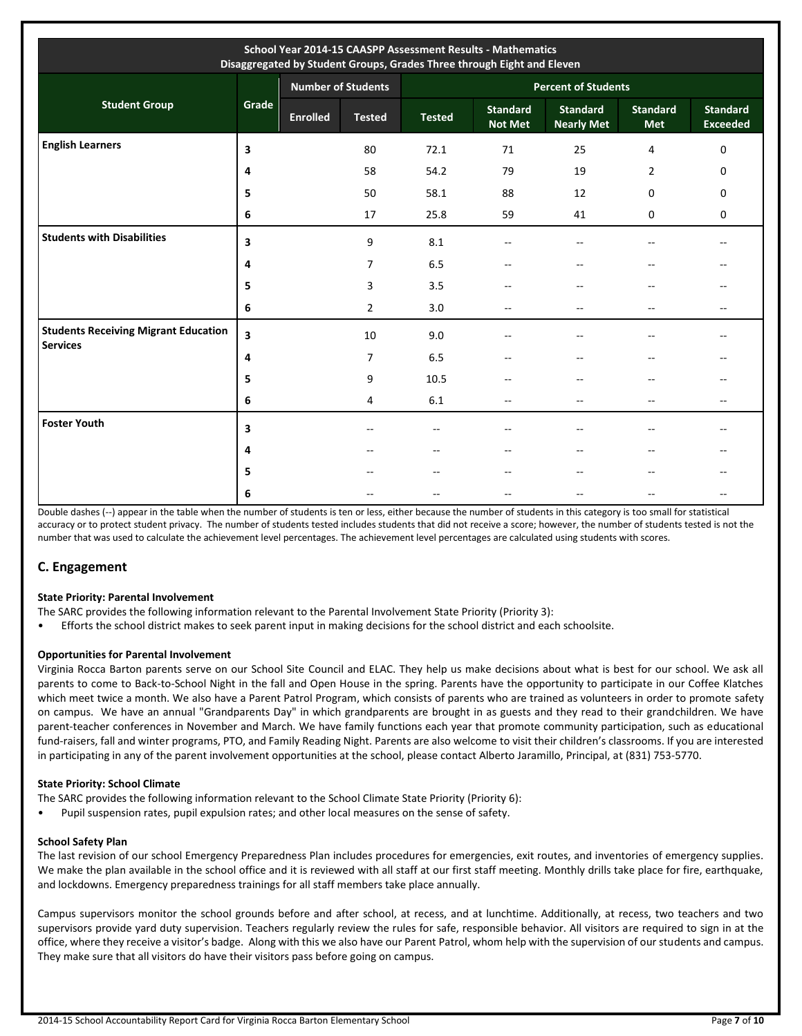| School Year 2014-15 CAASPP Assessment Results - Mathematics<br>Disaggregated by Student Groups, Grades Three through Eight and Eleven |       |                 |                           |                            |                                   |                                      |                               |                                    |  |
|---------------------------------------------------------------------------------------------------------------------------------------|-------|-----------------|---------------------------|----------------------------|-----------------------------------|--------------------------------------|-------------------------------|------------------------------------|--|
|                                                                                                                                       |       |                 | <b>Number of Students</b> | <b>Percent of Students</b> |                                   |                                      |                               |                                    |  |
| <b>Student Group</b>                                                                                                                  | Grade | <b>Enrolled</b> | <b>Tested</b>             | <b>Tested</b>              | <b>Standard</b><br><b>Not Met</b> | <b>Standard</b><br><b>Nearly Met</b> | <b>Standard</b><br><b>Met</b> | <b>Standard</b><br><b>Exceeded</b> |  |
| <b>English Learners</b>                                                                                                               | 3     |                 | 80                        | 72.1                       | 71                                | 25                                   | 4                             | $\mathbf 0$                        |  |
|                                                                                                                                       | 4     |                 | 58                        | 54.2                       | 79                                | 19                                   | $\overline{2}$                | 0                                  |  |
|                                                                                                                                       | 5     |                 | 50                        | 58.1                       | 88                                | 12                                   | 0                             | $\mathbf 0$                        |  |
|                                                                                                                                       | 6     |                 | 17                        | 25.8                       | 59                                | 41                                   | 0                             | 0                                  |  |
| <b>Students with Disabilities</b>                                                                                                     | 3     |                 | 9                         | 8.1                        |                                   |                                      |                               |                                    |  |
|                                                                                                                                       | 4     |                 | 7                         | 6.5                        | $\sim$                            | $\sim$                               |                               |                                    |  |
|                                                                                                                                       | 5     |                 | 3                         | 3.5                        |                                   | $\overline{\phantom{a}}$             | --                            |                                    |  |
|                                                                                                                                       | 6     |                 | $\overline{2}$            | 3.0                        | $-\,$                             | $-$                                  | $- -$                         | $\overline{\phantom{m}}$           |  |
| <b>Students Receiving Migrant Education</b><br><b>Services</b>                                                                        | 3     |                 | 10                        | 9.0                        |                                   | $\overline{\phantom{a}}$             | --                            |                                    |  |
|                                                                                                                                       | 4     |                 | 7                         | 6.5                        |                                   | $\overline{\phantom{a}}$             | --                            |                                    |  |
|                                                                                                                                       | 5     |                 | 9                         | 10.5                       | --                                |                                      | --                            |                                    |  |
|                                                                                                                                       | 6     |                 | 4                         | 6.1                        | $\overline{\phantom{a}}$          | $\overline{\phantom{a}}$             | $-$                           | $- -$                              |  |
| <b>Foster Youth</b>                                                                                                                   | 3     |                 | --                        | --                         | --                                | $\sim$                               | $-$                           |                                    |  |
|                                                                                                                                       | 4     |                 |                           | --                         |                                   | $-$                                  | --                            |                                    |  |
|                                                                                                                                       | 5     |                 |                           | --                         |                                   |                                      | --                            |                                    |  |
|                                                                                                                                       | 6     |                 |                           |                            |                                   |                                      |                               | --                                 |  |

Double dashes (--) appear in the table when the number of students is ten or less, either because the number of students in this category is too small for statistical accuracy or to protect student privacy. The number of students tested includes students that did not receive a score; however, the number of students tested is not the number that was used to calculate the achievement level percentages. The achievement level percentages are calculated using students with scores.

# **C. Engagement**

# **State Priority: Parental Involvement**

The SARC provides the following information relevant to the Parental Involvement State Priority (Priority 3):

• Efforts the school district makes to seek parent input in making decisions for the school district and each schoolsite.

# **Opportunities for Parental Involvement**

Virginia Rocca Barton parents serve on our School Site Council and ELAC. They help us make decisions about what is best for our school. We ask all parents to come to Back-to-School Night in the fall and Open House in the spring. Parents have the opportunity to participate in our Coffee Klatches which meet twice a month. We also have a Parent Patrol Program, which consists of parents who are trained as volunteers in order to promote safety on campus. We have an annual "Grandparents Day" in which grandparents are brought in as guests and they read to their grandchildren. We have parent-teacher conferences in November and March. We have family functions each year that promote community participation, such as educational fund-raisers, fall and winter programs, PTO, and Family Reading Night. Parents are also welcome to visit their children's classrooms. If you are interested in participating in any of the parent involvement opportunities at the school, please contact Alberto Jaramillo, Principal, at (831) 753-5770.

# **State Priority: School Climate**

- The SARC provides the following information relevant to the School Climate State Priority (Priority 6):
- Pupil suspension rates, pupil expulsion rates; and other local measures on the sense of safety.

# **School Safety Plan**

The last revision of our school Emergency Preparedness Plan includes procedures for emergencies, exit routes, and inventories of emergency supplies. We make the plan available in the school office and it is reviewed with all staff at our first staff meeting. Monthly drills take place for fire, earthquake, and lockdowns. Emergency preparedness trainings for all staff members take place annually.

Campus supervisors monitor the school grounds before and after school, at recess, and at lunchtime. Additionally, at recess, two teachers and two supervisors provide yard duty supervision. Teachers regularly review the rules for safe, responsible behavior. All visitors are required to sign in at the office, where they receive a visitor's badge. Along with this we also have our Parent Patrol, whom help with the supervision of our students and campus. They make sure that all visitors do have their visitors pass before going on campus.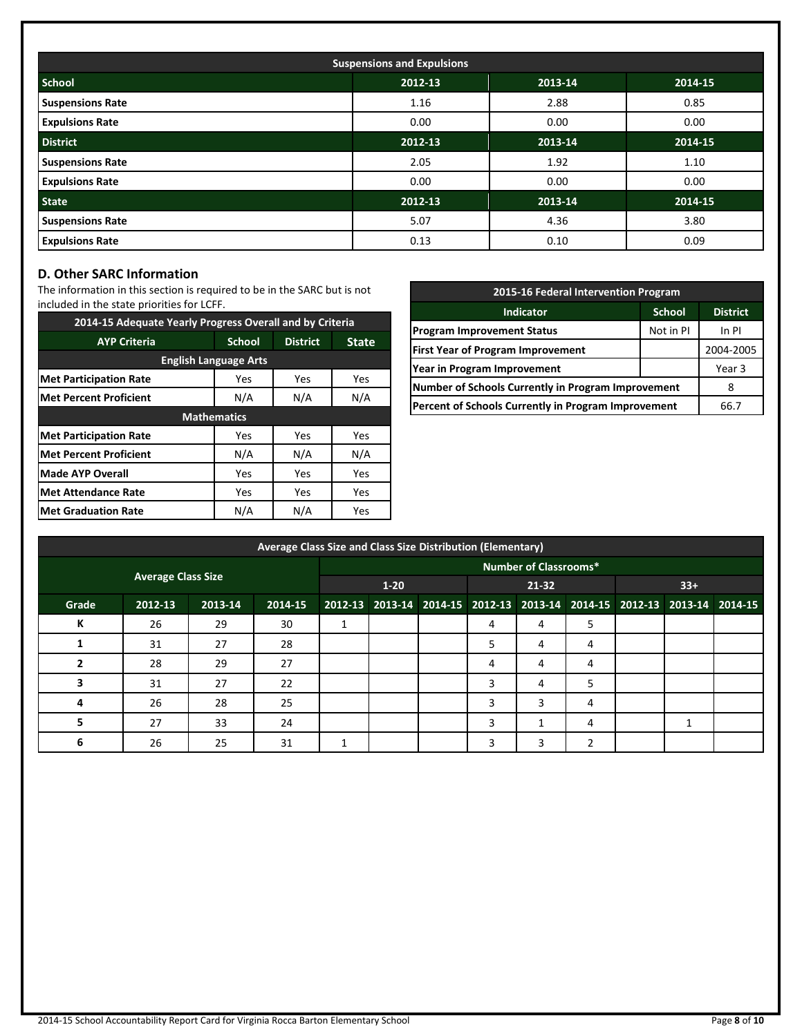| <b>Suspensions and Expulsions</b> |         |         |         |  |  |  |  |  |
|-----------------------------------|---------|---------|---------|--|--|--|--|--|
| <b>School</b>                     | 2012-13 | 2013-14 | 2014-15 |  |  |  |  |  |
| <b>Suspensions Rate</b>           | 1.16    | 2.88    | 0.85    |  |  |  |  |  |
| <b>Expulsions Rate</b>            | 0.00    | 0.00    | 0.00    |  |  |  |  |  |
| <b>District</b>                   | 2012-13 | 2013-14 | 2014-15 |  |  |  |  |  |
| <b>Suspensions Rate</b>           | 2.05    | 1.92    | 1.10    |  |  |  |  |  |
| <b>Expulsions Rate</b>            | 0.00    | 0.00    | 0.00    |  |  |  |  |  |
| <b>State</b>                      | 2012-13 | 2013-14 | 2014-15 |  |  |  |  |  |
| <b>Suspensions Rate</b>           | 5.07    | 4.36    | 3.80    |  |  |  |  |  |
| <b>Expulsions Rate</b>            | 0.13    | 0.10    | 0.09    |  |  |  |  |  |

# **D. Other SARC Information**

The information in this section is required to be in the SARC but is not included in the state priorities for LCFF.

| 2014-15 Adequate Yearly Progress Overall and by Criteria |                    |                 |              |  |  |  |  |  |  |
|----------------------------------------------------------|--------------------|-----------------|--------------|--|--|--|--|--|--|
| <b>AYP Criteria</b>                                      | <b>School</b>      | <b>District</b> | <b>State</b> |  |  |  |  |  |  |
| <b>English Language Arts</b>                             |                    |                 |              |  |  |  |  |  |  |
| <b>Met Participation Rate</b>                            | Yes                | Yes             | <b>Yes</b>   |  |  |  |  |  |  |
| Met Percent Proficient                                   | N/A<br>N/A         |                 | N/A          |  |  |  |  |  |  |
|                                                          | <b>Mathematics</b> |                 |              |  |  |  |  |  |  |
| <b>Met Participation Rate</b>                            | Yes                | Yes             | <b>Yes</b>   |  |  |  |  |  |  |
| <b>Met Percent Proficient</b>                            | N/A                | N/A             | N/A          |  |  |  |  |  |  |
| Made AYP Overall                                         | Yes                | Yes             | Yes          |  |  |  |  |  |  |
| <b>Met Attendance Rate</b>                               | Yes                | Yes             | Yes          |  |  |  |  |  |  |
| <b>Met Graduation Rate</b>                               | N/A                | N/A             | Yes          |  |  |  |  |  |  |

| 2015-16 Federal Intervention Program                |               |                 |  |  |  |  |
|-----------------------------------------------------|---------------|-----------------|--|--|--|--|
| <b>Indicator</b>                                    | <b>School</b> | <b>District</b> |  |  |  |  |
| <b>Program Improvement Status</b>                   | Not in PI     | In PI           |  |  |  |  |
| <b>First Year of Program Improvement</b>            |               | 2004-2005       |  |  |  |  |
| Year in Program Improvement                         |               | Year 3          |  |  |  |  |
| Number of Schools Currently in Program Improvement  |               |                 |  |  |  |  |
| Percent of Schools Currently in Program Improvement | 66.7          |                 |  |  |  |  |

|       | Average Class Size and Class Size Distribution (Elementary) |         |         |  |          |  |                                                                         |                              |   |       |  |  |
|-------|-------------------------------------------------------------|---------|---------|--|----------|--|-------------------------------------------------------------------------|------------------------------|---|-------|--|--|
|       |                                                             |         |         |  |          |  |                                                                         | <b>Number of Classrooms*</b> |   |       |  |  |
|       | <b>Average Class Size</b>                                   |         |         |  | $1 - 20$ |  | 21-32                                                                   |                              |   | $33+$ |  |  |
| Grade | 2012-13                                                     | 2013-14 | 2014-15 |  |          |  | 2012-13 2013-14 2014-15 2012-13 2013-14 2014-15 2012-13 2013-14 2014-15 |                              |   |       |  |  |
| К     | 26                                                          | 29      | 30      |  |          |  | 4                                                                       | 4                            | 5 |       |  |  |
|       | 31                                                          | 27      | 28      |  |          |  | 5                                                                       | 4                            | 4 |       |  |  |
| 2     | 28                                                          | 29      | 27      |  |          |  | 4                                                                       | 4                            | 4 |       |  |  |
| з     | 31                                                          | 27      | 22      |  |          |  | 3                                                                       | 4                            | 5 |       |  |  |
| 4     | 26                                                          | 28      | 25      |  |          |  | 3                                                                       | 3                            | 4 |       |  |  |
| 5     | 27                                                          | 33      | 24      |  |          |  | 3                                                                       |                              | 4 |       |  |  |
| 6     | 26                                                          | 25      | 31      |  |          |  | 3                                                                       | 3                            |   |       |  |  |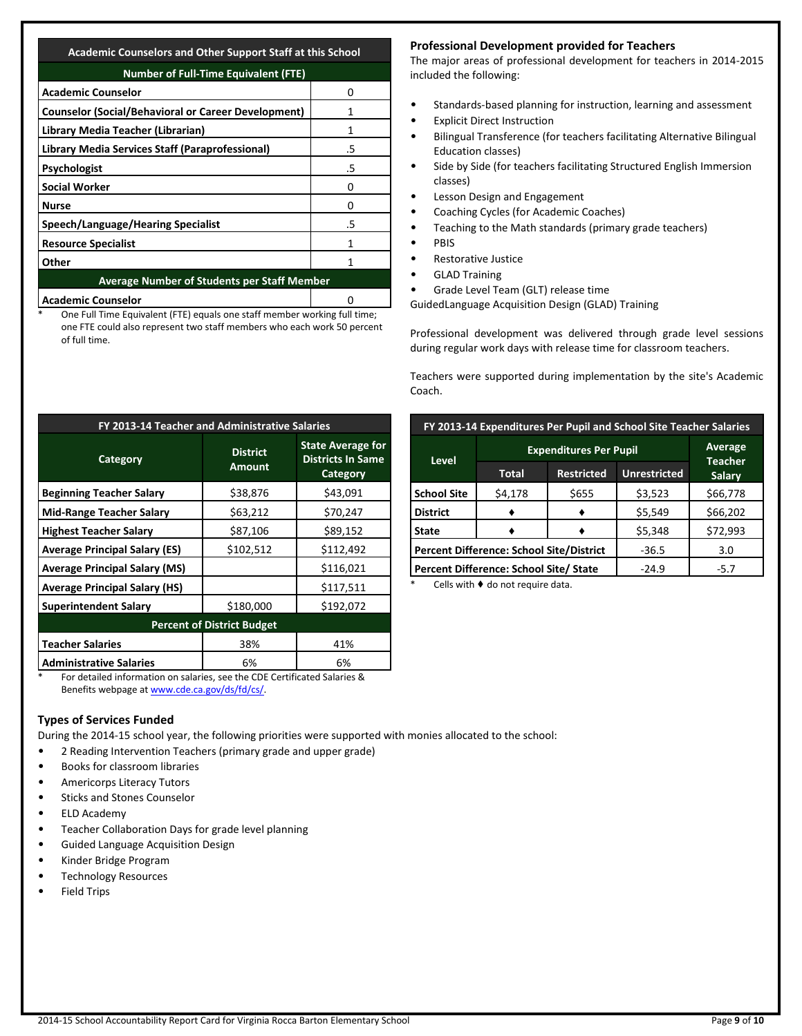## **Academic Counselors and Other Support Staff at this School**

| <b>Number of Full-Time Equivalent (FTE)</b>        |  |  |  |  |  |  |
|----------------------------------------------------|--|--|--|--|--|--|
| Ω                                                  |  |  |  |  |  |  |
|                                                    |  |  |  |  |  |  |
|                                                    |  |  |  |  |  |  |
| .5                                                 |  |  |  |  |  |  |
| .5                                                 |  |  |  |  |  |  |
| Ω                                                  |  |  |  |  |  |  |
| O                                                  |  |  |  |  |  |  |
| .5                                                 |  |  |  |  |  |  |
|                                                    |  |  |  |  |  |  |
|                                                    |  |  |  |  |  |  |
| <b>Average Number of Students per Staff Member</b> |  |  |  |  |  |  |
|                                                    |  |  |  |  |  |  |

**Academic Counselor** 0

One Full Time Equivalent (FTE) equals one staff member working full time; one FTE could also represent two staff members who each work 50 percent of full time.

| FY 2013-14 Teacher and Administrative Salaries |                                  |                                                                  |  |  |  |  |  |  |
|------------------------------------------------|----------------------------------|------------------------------------------------------------------|--|--|--|--|--|--|
| Category                                       | <b>District</b><br><b>Amount</b> | <b>State Average for</b><br><b>Districts In Same</b><br>Category |  |  |  |  |  |  |
| <b>Beginning Teacher Salary</b>                | \$38,876                         | \$43,091                                                         |  |  |  |  |  |  |
| <b>Mid-Range Teacher Salary</b>                | \$63,212                         | \$70,247                                                         |  |  |  |  |  |  |
| <b>Highest Teacher Salary</b>                  | \$87,106                         | \$89,152                                                         |  |  |  |  |  |  |
| <b>Average Principal Salary (ES)</b>           | \$102,512                        | \$112,492                                                        |  |  |  |  |  |  |
| <b>Average Principal Salary (MS)</b>           |                                  | \$116,021                                                        |  |  |  |  |  |  |
| <b>Average Principal Salary (HS)</b>           |                                  | \$117,511                                                        |  |  |  |  |  |  |
| <b>Superintendent Salary</b>                   | \$180,000                        | \$192,072                                                        |  |  |  |  |  |  |
| <b>Percent of District Budget</b>              |                                  |                                                                  |  |  |  |  |  |  |
| <b>Teacher Salaries</b>                        | 38%                              | 41%                                                              |  |  |  |  |  |  |
| <b>Administrative Salaries</b>                 | 6%                               | 6%                                                               |  |  |  |  |  |  |

\* For detailed information on salaries, see the CDE Certificated Salaries & Benefits webpage a[t www.cde.ca.gov/ds/fd/cs/.](http://www.cde.ca.gov/ds/fd/cs/)

# **Types of Services Funded**

During the 2014-15 school year, the following priorities were supported with monies allocated to the school:

- 2 Reading Intervention Teachers (primary grade and upper grade)
- Books for classroom libraries
- Americorps Literacy Tutors
- Sticks and Stones Counselor
- ELD Academy
- Teacher Collaboration Days for grade level planning
- Guided Language Acquisition Design
- Kinder Bridge Program
- Technology Resources
- **Field Trips**

# **Professional Development provided for Teachers**

The major areas of professional development for teachers in 2014-2015 included the following:

- Standards-based planning for instruction, learning and assessment
- **Explicit Direct Instruction**
- Bilingual Transference (for teachers facilitating Alternative Bilingual Education classes)
- Side by Side (for teachers facilitating Structured English Immersion classes)
- Lesson Design and Engagement
- Coaching Cycles (for Academic Coaches)
- Teaching to the Math standards (primary grade teachers)
- PBIS
- Restorative Justice
- **GLAD Training**
- Grade Level Team (GLT) release time

GuidedLanguage Acquisition Design (GLAD) Training

Professional development was delivered through grade level sessions during regular work days with release time for classroom teachers.

Teachers were supported during implementation by the site's Academic Coach.

| FY 2013-14 Expenditures Per Pupil and School Site Teacher Salaries |                                                 |                                          |         |          |  |  |  |  |
|--------------------------------------------------------------------|-------------------------------------------------|------------------------------------------|---------|----------|--|--|--|--|
|                                                                    |                                                 | <b>Expenditures Per Pupil</b>            |         |          |  |  |  |  |
| <b>Level</b>                                                       | Total                                           | <b>Unrestricted</b><br><b>Restricted</b> |         |          |  |  |  |  |
| <b>School Site</b>                                                 | \$4,178                                         | \$655                                    | \$3,523 | \$66,778 |  |  |  |  |
| <b>District</b>                                                    |                                                 |                                          | \$5,549 | \$66,202 |  |  |  |  |
| <b>State</b>                                                       |                                                 |                                          | \$5,348 | \$72,993 |  |  |  |  |
|                                                                    | <b>Percent Difference: School Site/District</b> | $-36.5$                                  | 3.0     |          |  |  |  |  |
|                                                                    | Percent Difference: School Site/ State          | $-24.9$                                  | $-5.7$  |          |  |  |  |  |

Cells with  $\blacklozenge$  do not require data.